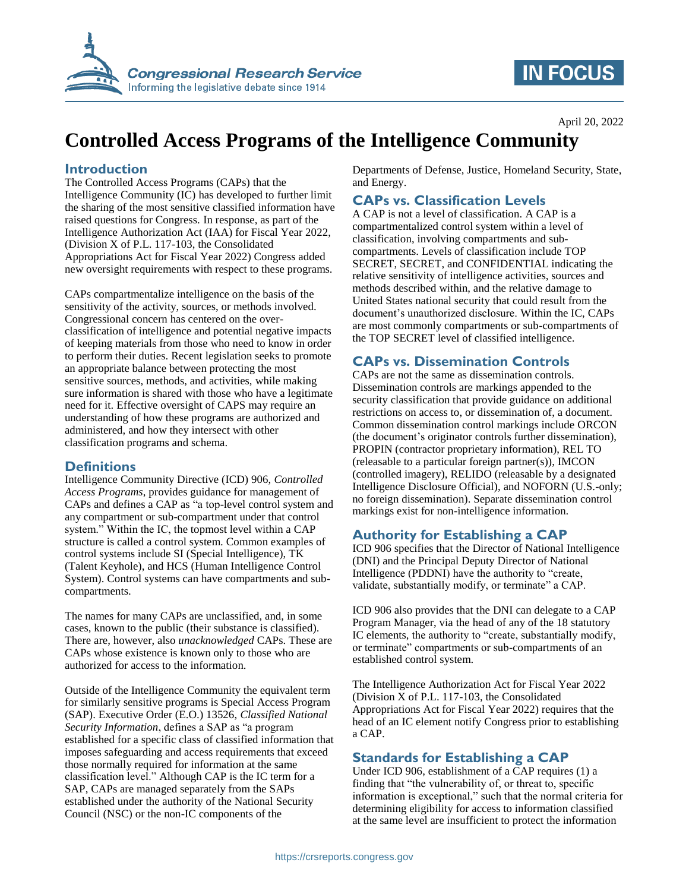

# **IN FOCUS**

## **Controlled Access Programs of the Intelligence Community**

#### **Introduction**

The Controlled Access Programs (CAPs) that the Intelligence Community (IC) has developed to further limit the sharing of the most sensitive classified information have raised questions for Congress. In response, as part of the Intelligence Authorization Act (IAA) for Fiscal Year 2022, (Division X of P.L. 117-103, the Consolidated Appropriations Act for Fiscal Year 2022) Congress added new oversight requirements with respect to these programs.

CAPs compartmentalize intelligence on the basis of the sensitivity of the activity, sources, or methods involved. Congressional concern has centered on the overclassification of intelligence and potential negative impacts of keeping materials from those who need to know in order to perform their duties. Recent legislation seeks to promote an appropriate balance between protecting the most sensitive sources, methods, and activities, while making sure information is shared with those who have a legitimate need for it. Effective oversight of CAPS may require an understanding of how these programs are authorized and administered, and how they intersect with other classification programs and schema.

#### **Definitions**

Intelligence Community Directive (ICD) 906, *Controlled Access Programs*, provides guidance for management of CAPs and defines a CAP as "a top-level control system and any compartment or sub-compartment under that control system." Within the IC, the topmost level within a CAP structure is called a control system. Common examples of control systems include SI (Special Intelligence), TK (Talent Keyhole), and HCS (Human Intelligence Control System). Control systems can have compartments and subcompartments.

The names for many CAPs are unclassified, and, in some cases, known to the public (their substance is classified). There are, however, also *unacknowledged* CAPs. These are CAPs whose existence is known only to those who are authorized for access to the information.

Outside of the Intelligence Community the equivalent term for similarly sensitive programs is Special Access Program (SAP). Executive Order (E.O.) 13526, *Classified National Security Information*, defines a SAP as "a program established for a specific class of classified information that imposes safeguarding and access requirements that exceed those normally required for information at the same classification level." Although CAP is the IC term for a SAP, CAPs are managed separately from the SAPs established under the authority of the National Security Council (NSC) or the non-IC components of the

Departments of Defense, Justice, Homeland Security, State, and Energy.

#### **CAPs vs. Classification Levels**

A CAP is not a level of classification. A CAP is a compartmentalized control system within a level of classification, involving compartments and subcompartments. Levels of classification include TOP SECRET, SECRET, and CONFIDENTIAL indicating the relative sensitivity of intelligence activities, sources and methods described within, and the relative damage to United States national security that could result from the document's unauthorized disclosure. Within the IC, CAPs are most commonly compartments or sub-compartments of the TOP SECRET level of classified intelligence.

#### **CAPs vs. Dissemination Controls**

CAPs are not the same as dissemination controls. Dissemination controls are markings appended to the security classification that provide guidance on additional restrictions on access to, or dissemination of, a document. Common dissemination control markings include ORCON (the document's originator controls further dissemination), PROPIN (contractor proprietary information), REL TO (releasable to a particular foreign partner(s)), IMCON (controlled imagery), RELIDO (releasable by a designated Intelligence Disclosure Official), and NOFORN (U.S.-only; no foreign dissemination). Separate dissemination control markings exist for non-intelligence information.

### **Authority for Establishing a CAP**

ICD 906 specifies that the Director of National Intelligence (DNI) and the Principal Deputy Director of National Intelligence (PDDNI) have the authority to "create, validate, substantially modify, or terminate" a CAP.

ICD 906 also provides that the DNI can delegate to a CAP Program Manager, via the head of any of the 18 statutory IC elements, the authority to "create, substantially modify, or terminate" compartments or sub-compartments of an established control system.

The Intelligence Authorization Act for Fiscal Year 2022 (Division X of P.L. 117-103, the Consolidated Appropriations Act for Fiscal Year 2022) requires that the head of an IC element notify Congress prior to establishing a CAP.

#### **Standards for Establishing a CAP**

Under ICD 906, establishment of a  $\overline{CAP}$  requires (1) a finding that "the vulnerability of, or threat to, specific information is exceptional," such that the normal criteria for determining eligibility for access to information classified at the same level are insufficient to protect the information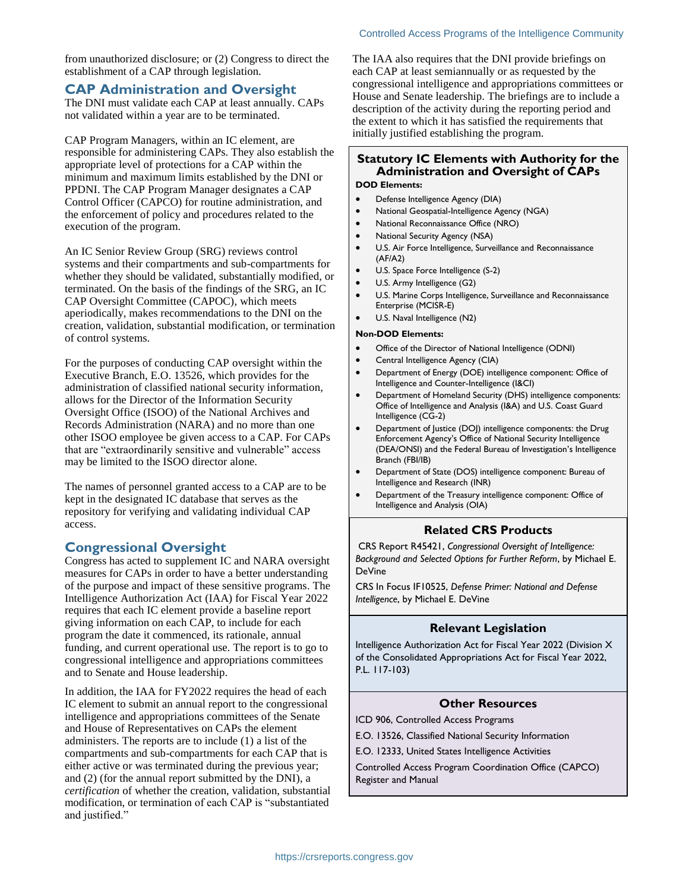from unauthorized disclosure; or (2) Congress to direct the establishment of a CAP through legislation.

#### **CAP Administration and Oversight**

The DNI must validate each CAP at least annually. CAPs not validated within a year are to be terminated.

CAP Program Managers, within an IC element, are responsible for administering CAPs. They also establish the appropriate level of protections for a CAP within the minimum and maximum limits established by the DNI or PPDNI. The CAP Program Manager designates a CAP Control Officer (CAPCO) for routine administration, and the enforcement of policy and procedures related to the execution of the program.

An IC Senior Review Group (SRG) reviews control systems and their compartments and sub-compartments for whether they should be validated, substantially modified, or terminated. On the basis of the findings of the SRG, an IC CAP Oversight Committee (CAPOC), which meets aperiodically, makes recommendations to the DNI on the creation, validation, substantial modification, or termination of control systems.

For the purposes of conducting CAP oversight within the Executive Branch, E.O. 13526, which provides for the administration of classified national security information, allows for the Director of the Information Security Oversight Office (ISOO) of the National Archives and Records Administration (NARA) and no more than one other ISOO employee be given access to a CAP. For CAPs that are "extraordinarily sensitive and vulnerable" access may be limited to the ISOO director alone.

The names of personnel granted access to a CAP are to be kept in the designated IC database that serves as the repository for verifying and validating individual CAP access.

#### **Congressional Oversight**

Congress has acted to supplement IC and NARA oversight measures for CAPs in order to have a better understanding of the purpose and impact of these sensitive programs. The Intelligence Authorization Act (IAA) for Fiscal Year 2022 requires that each IC element provide a baseline report giving information on each CAP, to include for each program the date it commenced, its rationale, annual funding, and current operational use. The report is to go to congressional intelligence and appropriations committees and to Senate and House leadership.

In addition, the IAA for FY2022 requires the head of each IC element to submit an annual report to the congressional intelligence and appropriations committees of the Senate and House of Representatives on CAPs the element administers. The reports are to include (1) a list of the compartments and sub-compartments for each CAP that is either active or was terminated during the previous year; and (2) (for the annual report submitted by the DNI), a *certification* of whether the creation, validation, substantial modification, or termination of each CAP is "substantiated and justified."

The IAA also requires that the DNI provide briefings on each CAP at least semiannually or as requested by the congressional intelligence and appropriations committees or House and Senate leadership. The briefings are to include a description of the activity during the reporting period and the extent to which it has satisfied the requirements that initially justified establishing the program.

#### **Statutory IC Elements with Authority for the Administration and Oversight of CAPs**

#### **DOD Elements:**

- Defense Intelligence Agency (DIA)
- National Geospatial-Intelligence Agency (NGA)
- National Reconnaissance Office (NRO)
- National Security Agency (NSA)
- U.S. Air Force Intelligence, Surveillance and Reconnaissance (AF/A2)
- U.S. Space Force Intelligence (S-2)
- U.S. Army Intelligence (G2)
- U.S. Marine Corps Intelligence, Surveillance and Reconnaissance Enterprise (MCISR-E)
- U.S. Naval Intelligence (N2)

#### **Non-DOD Elements:**

- Office of the Director of National Intelligence (ODNI)
- Central Intelligence Agency (CIA)
- Department of Energy (DOE) intelligence component: Office of Intelligence and Counter-Intelligence (I&CI)
- Department of Homeland Security (DHS) intelligence components: Office of Intelligence and Analysis (I&A) and U.S. Coast Guard Intelligence (CG-2)
- Department of Justice (DOJ) intelligence components: the Drug Enforcement Agency's Office of National Security Intelligence (DEA/ONSI) and the Federal Bureau of Investigation's Intelligence Branch (FBI/IB)
- Department of State (DOS) intelligence component: Bureau of Intelligence and Research (INR)
- Department of the Treasury intelligence component: Office of Intelligence and Analysis (OIA)

#### **Related CRS Products**

CRS Report R45421, *Congressional Oversight of Intelligence: Background and Selected Options for Further Reform*, by Michael E. DeVine

CRS In Focus IF10525, *Defense Primer: National and Defense Intelligence*, by Michael E. DeVine

#### **Relevant Legislation**

Intelligence Authorization Act for Fiscal Year 2022 (Division X of the Consolidated Appropriations Act for Fiscal Year 2022, P.L. 117-103)

#### **Other Resources**

ICD 906, Controlled Access Programs

- E.O. 13526, Classified National Security Information
- E.O. 12333, United States Intelligence Activities

Controlled Access Program Coordination Office (CAPCO) Register and Manual